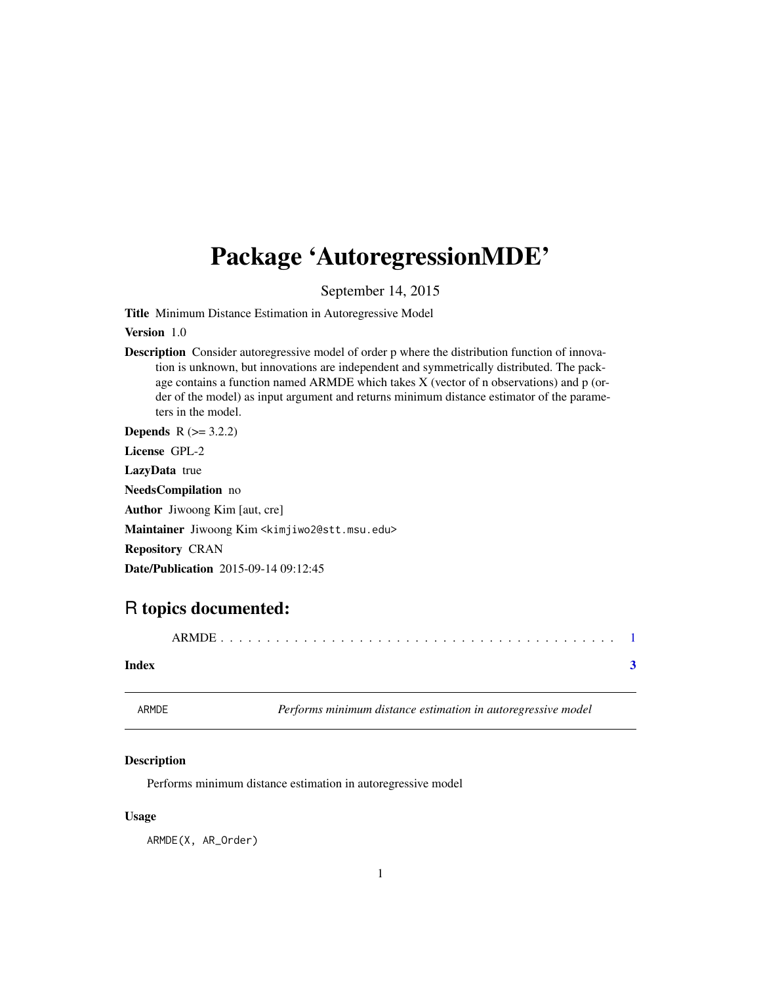## <span id="page-0-0"></span>Package 'AutoregressionMDE'

September 14, 2015

Title Minimum Distance Estimation in Autoregressive Model

Version 1.0

Description Consider autoregressive model of order p where the distribution function of innovation is unknown, but innovations are independent and symmetrically distributed. The package contains a function named ARMDE which takes X (vector of n observations) and p (order of the model) as input argument and returns minimum distance estimator of the parameters in the model.

**Depends**  $R (= 3.2.2)$ 

License GPL-2

LazyData true

NeedsCompilation no

Author Jiwoong Kim [aut, cre]

Maintainer Jiwoong Kim <kimjiwo2@stt.msu.edu>

Repository CRAN

Date/Publication 2015-09-14 09:12:45

### R topics documented:

|--|--|--|--|

#### **Index** [3](#page-2-0)

ARMDE *Performs minimum distance estimation in autoregressive model*

#### Description

Performs minimum distance estimation in autoregressive model

#### Usage

ARMDE(X, AR\_Order)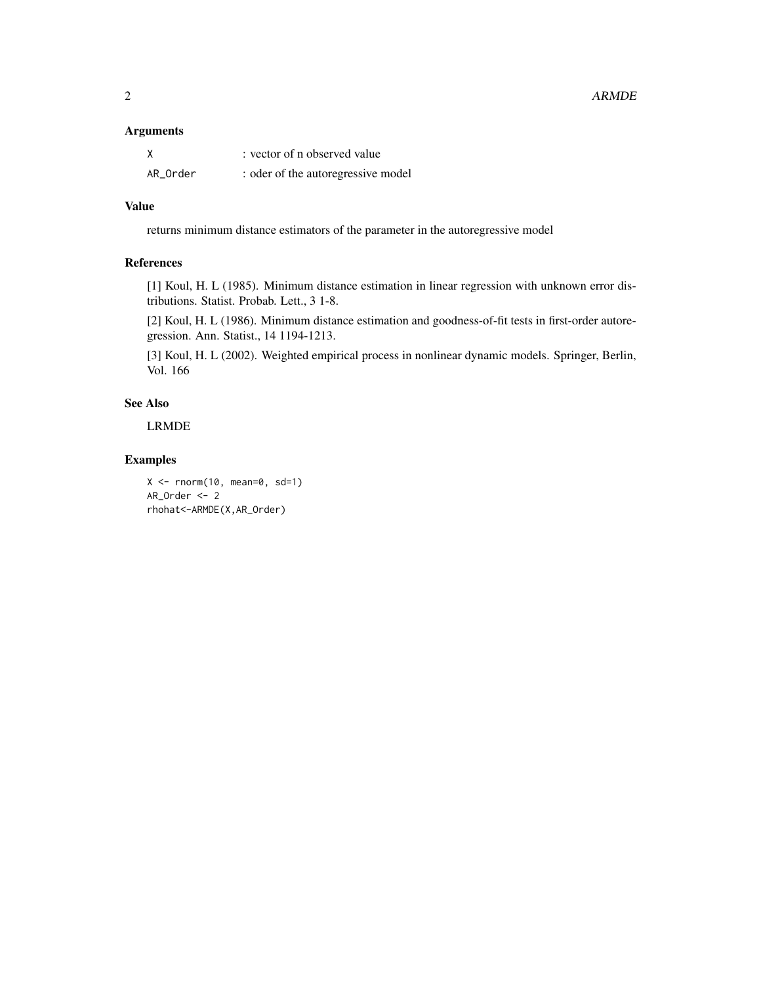2 ARMDE

#### Arguments

| X        | : vector of n observed value       |
|----------|------------------------------------|
| AR_Order | : oder of the autoregressive model |

#### Value

returns minimum distance estimators of the parameter in the autoregressive model

#### References

[1] Koul, H. L (1985). Minimum distance estimation in linear regression with unknown error distributions. Statist. Probab. Lett., 3 1-8.

[2] Koul, H. L (1986). Minimum distance estimation and goodness-of-fit tests in first-order autoregression. Ann. Statist., 14 1194-1213.

[3] Koul, H. L (2002). Weighted empirical process in nonlinear dynamic models. Springer, Berlin, Vol. 166

#### See Also

LRMDE

#### Examples

```
X \leftarrow \text{norm}(10, \text{mean=0}, \text{sd=1})AR_Order <- 2
rhohat<-ARMDE(X,AR_Order)
```